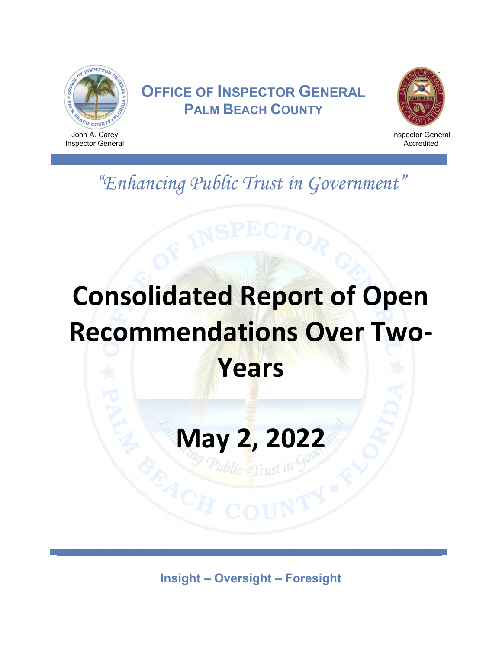

# **OFFICE OF INSPECTOR GENERAL PALM BEACH COUNTY**



Inspector General Accredited

*"Enhancing Public Trust in Government"* 

# **Consolidated Report of Open Recommendations Over Two‐ Years**

# **May 2, 2022**

**Insight – Oversight – Foresight**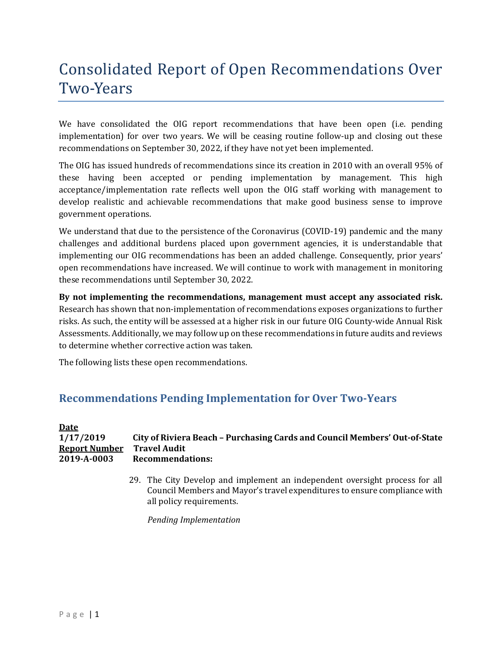# Consolidated Report of Open Recommendations Over Two-Years

We have consolidated the OIG report recommendations that have been open (i.e. pending implementation) for over two years. We will be ceasing routine follow-up and closing out these recommendations on September 30, 2022, if they have not yet been implemented.

The OIG has issued hundreds of recommendations since its creation in 2010 with an overall 95% of these having been accepted or pending implementation by management. This high acceptance/implementation rate reflects well upon the OIG staff working with management to develop realistic and achievable recommendations that make good business sense to improve government operations.

We understand that due to the persistence of the Coronavirus (COVID-19) pandemic and the many challenges and additional burdens placed upon government agencies, it is understandable that implementing our OIG recommendations has been an added challenge. Consequently, prior years' open recommendations have increased. We will continue to work with management in monitoring these recommendations until September 30, 2022.

**By not implementing the recommendations, management must accept any associated risk.** Research has shown that non-implementation of recommendations exposes organizations to further risks. As such, the entity will be assessed at a higher risk in our future OIG County-wide Annual Risk Assessments. Additionally, we may follow up on these recommendations in future audits and reviews to determine whether corrective action was taken.

The following lists these open recommendations.

## **Recommendations Pending Implementation for Over Two‐Years**

#### **Date 1/17/2019 City of Riviera Beach – Purchasing Cards and Council Members' Out‐of‐State Report Number Travel Audit 2019‐A‐0003 Recommendations:**

29. The City Develop and implement an independent oversight process for all Council Members and Mayor's travel expenditures to ensure compliance with all policy requirements.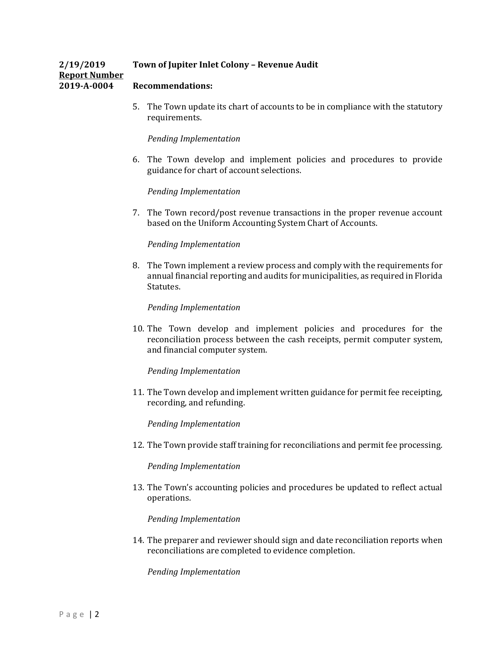#### **2/19/2019 Town of Jupiter Inlet Colony – Revenue Audit Report Number 2019‐A‐0004 Recommendations:**

5. The Town update its chart of accounts to be in compliance with the statutory requirements.

#### *Pending Implementation*

6. The Town develop and implement policies and procedures to provide guidance for chart of account selections.

#### *Pending Implementation*

7. The Town record/post revenue transactions in the proper revenue account based on the Uniform Accounting System Chart of Accounts.

#### *Pending Implementation*

8. The Town implement a review process and comply with the requirements for annual financial reporting and audits for municipalities, as required in Florida Statutes.

#### *Pending Implementation*

10. The Town develop and implement policies and procedures for the reconciliation process between the cash receipts, permit computer system, and financial computer system.

#### *Pending Implementation*

11. The Town develop and implement written guidance for permit fee receipting, recording, and refunding.

#### *Pending Implementation*

12. The Town provide staff training for reconciliations and permit fee processing.

#### *Pending Implementation*

13. The Town's accounting policies and procedures be updated to reflect actual operations.

#### *Pending Implementation*

14. The preparer and reviewer should sign and date reconciliation reports when reconciliations are completed to evidence completion.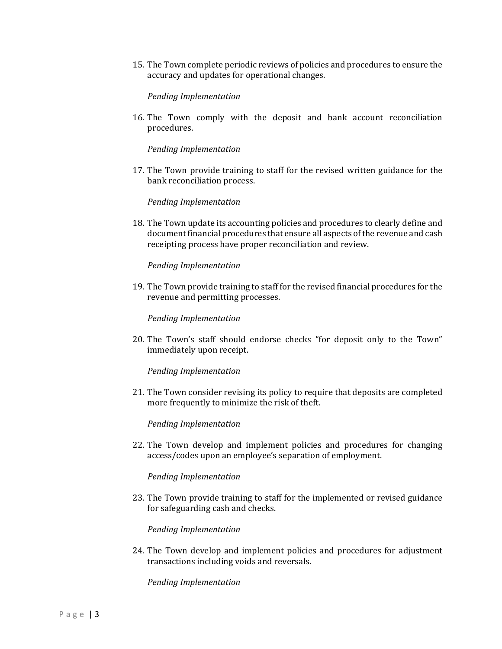15. The Town complete periodic reviews of policies and procedures to ensure the accuracy and updates for operational changes.

*Pending Implementation*

16. The Town comply with the deposit and bank account reconciliation procedures.

*Pending Implementation*

17. The Town provide training to staff for the revised written guidance for the bank reconciliation process.

*Pending Implementation*

18. The Town update its accounting policies and procedures to clearly define and document financial procedures that ensure all aspects of the revenue and cash receipting process have proper reconciliation and review.

*Pending Implementation*

19. The Town provide training to staff for the revised financial procedures for the revenue and permitting processes.

*Pending Implementation*

20. The Town's staff should endorse checks "for deposit only to the Town" immediately upon receipt.

*Pending Implementation*

21. The Town consider revising its policy to require that deposits are completed more frequently to minimize the risk of theft.

*Pending Implementation*

22. The Town develop and implement policies and procedures for changing access/codes upon an employee's separation of employment.

*Pending Implementation*

23. The Town provide training to staff for the implemented or revised guidance for safeguarding cash and checks.

*Pending Implementation*

24. The Town develop and implement policies and procedures for adjustment transactions including voids and reversals.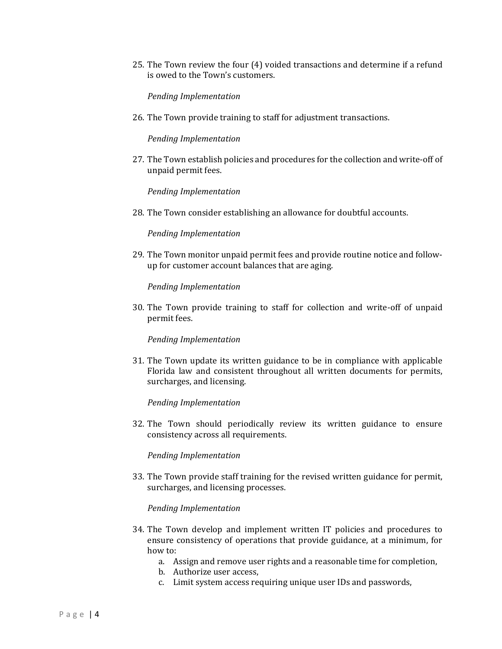25. The Town review the four (4) voided transactions and determine if a refund is owed to the Town's customers.

*Pending Implementation*

26. The Town provide training to staff for adjustment transactions.

*Pending Implementation*

27. The Town establish policies and procedures for the collection and write-off of unpaid permit fees.

*Pending Implementation*

28. The Town consider establishing an allowance for doubtful accounts.

*Pending Implementation*

29. The Town monitor unpaid permit fees and provide routine notice and followup for customer account balances that are aging.

*Pending Implementation*

30. The Town provide training to staff for collection and write-off of unpaid permit fees.

*Pending Implementation*

31. The Town update its written guidance to be in compliance with applicable Florida law and consistent throughout all written documents for permits, surcharges, and licensing.

*Pending Implementation*

32. The Town should periodically review its written guidance to ensure consistency across all requirements.

*Pending Implementation*

33. The Town provide staff training for the revised written guidance for permit, surcharges, and licensing processes.

- 34. The Town develop and implement written IT policies and procedures to ensure consistency of operations that provide guidance, at a minimum, for how to:
	- a. Assign and remove user rights and a reasonable time for completion,
	- b. Authorize user access,
	- c. Limit system access requiring unique user IDs and passwords,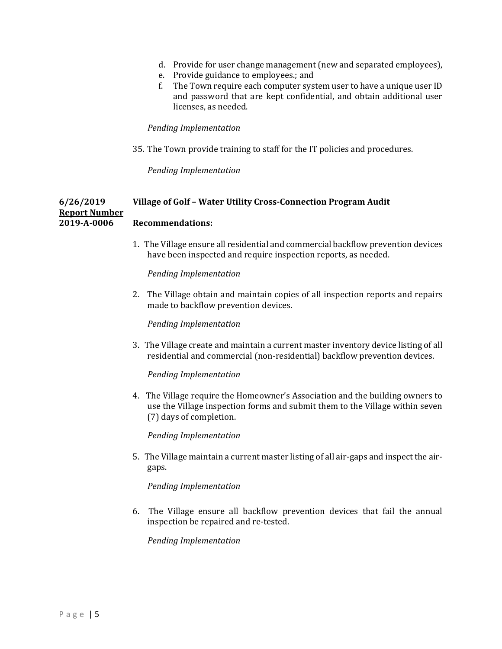- d. Provide for user change management (new and separated employees),
- e. Provide guidance to employees.; and
- f. The Town require each computer system user to have a unique user ID and password that are kept confidential, and obtain additional user licenses, as needed.

#### *Pending Implementation*

35. The Town provide training to staff for the IT policies and procedures.

*Pending Implementation*

#### **6/26/2019 Village of Golf – Water Utility Cross‐Connection Program Audit Report Number 2019‐A‐0006 Recommendations:**

1. The Village ensure all residential and commercial backflow prevention devices have been inspected and require inspection reports, as needed.

*Pending Implementation*

2. The Village obtain and maintain copies of all inspection reports and repairs made to backflow prevention devices.

*Pending Implementation*

3. The Village create and maintain a current master inventory device listing of all residential and commercial (non-residential) backflow prevention devices.

*Pending Implementation*

4. The Village require the Homeowner's Association and the building owners to use the Village inspection forms and submit them to the Village within seven (7) days of completion.

*Pending Implementation*

5. The Village maintain a current master listing of all air-gaps and inspect the airgaps.

*Pending Implementation*

6. The Village ensure all backflow prevention devices that fail the annual inspection be repaired and re-tested.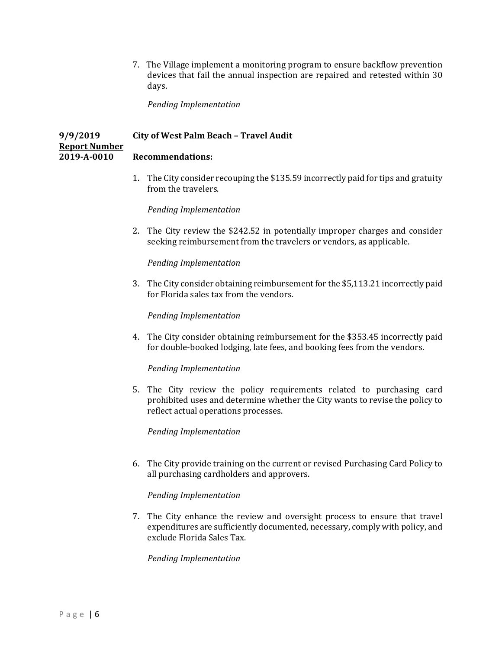7. The Village implement a monitoring program to ensure backflow prevention devices that fail the annual inspection are repaired and retested within 30 days.

*Pending Implementation*

#### **9/9/2019 City of West Palm Beach – Travel Audit Report Number 2019‐A‐0010 Recommendations:**

1. The City consider recouping the \$135.59 incorrectly paid for tips and gratuity from the travelers.

*Pending Implementation*

2. The City review the \$242.52 in potentially improper charges and consider seeking reimbursement from the travelers or vendors, as applicable.

*Pending Implementation*

3. The City consider obtaining reimbursement for the \$5,113.21 incorrectly paid for Florida sales tax from the vendors.

*Pending Implementation*

4. The City consider obtaining reimbursement for the \$353.45 incorrectly paid for double-booked lodging, late fees, and booking fees from the vendors.

*Pending Implementation*

5. The City review the policy requirements related to purchasing card prohibited uses and determine whether the City wants to revise the policy to reflect actual operations processes.

*Pending Implementation*

6. The City provide training on the current or revised Purchasing Card Policy to all purchasing cardholders and approvers.

#### *Pending Implementation*

7. The City enhance the review and oversight process to ensure that travel expenditures are sufficiently documented, necessary, comply with policy, and exclude Florida Sales Tax.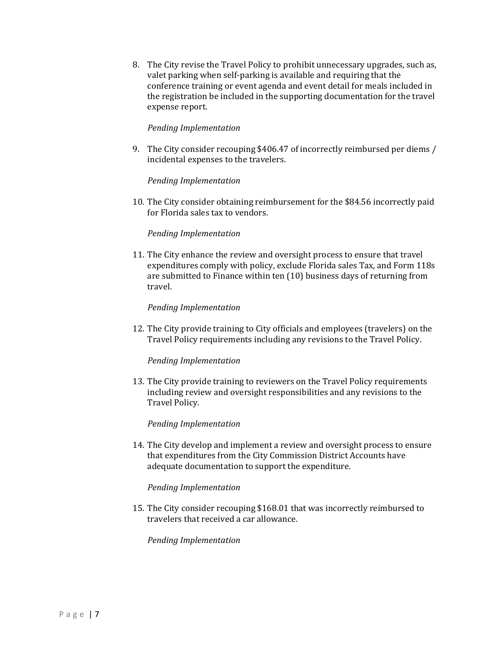8. The City revise the Travel Policy to prohibit unnecessary upgrades, such as, valet parking when self-parking is available and requiring that the conference training or event agenda and event detail for meals included in the registration be included in the supporting documentation for the travel expense report.

#### *Pending Implementation*

9. The City consider recouping \$406.47 of incorrectly reimbursed per diems / incidental expenses to the travelers.

#### *Pending Implementation*

10. The City consider obtaining reimbursement for the \$84.56 incorrectly paid for Florida sales tax to vendors.

#### *Pending Implementation*

11. The City enhance the review and oversight process to ensure that travel expenditures comply with policy, exclude Florida sales Tax, and Form 118s are submitted to Finance within ten (10) business days of returning from travel.

#### *Pending Implementation*

12. The City provide training to City officials and employees (travelers) on the Travel Policy requirements including any revisions to the Travel Policy.

#### *Pending Implementation*

13. The City provide training to reviewers on the Travel Policy requirements including review and oversight responsibilities and any revisions to the Travel Policy.

#### *Pending Implementation*

14. The City develop and implement a review and oversight process to ensure that expenditures from the City Commission District Accounts have adequate documentation to support the expenditure.

#### *Pending Implementation*

15. The City consider recouping \$168.01 that was incorrectly reimbursed to travelers that received a car allowance.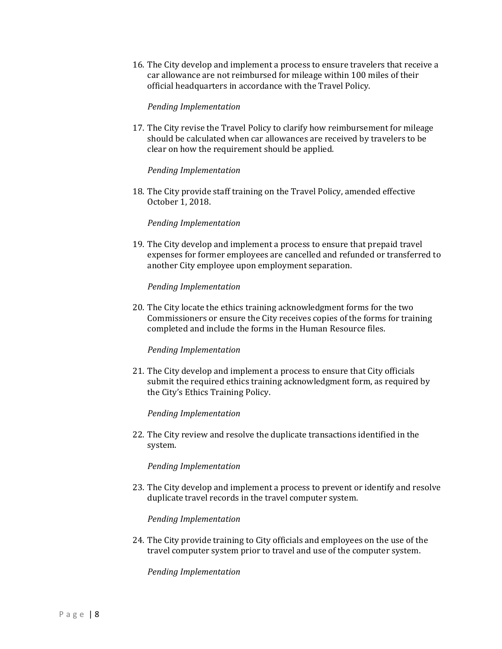16. The City develop and implement a process to ensure travelers that receive a car allowance are not reimbursed for mileage within 100 miles of their official headquarters in accordance with the Travel Policy.

#### *Pending Implementation*

17. The City revise the Travel Policy to clarify how reimbursement for mileage should be calculated when car allowances are received by travelers to be clear on how the requirement should be applied.

#### *Pending Implementation*

18. The City provide staff training on the Travel Policy, amended effective October 1, 2018.

#### *Pending Implementation*

19. The City develop and implement a process to ensure that prepaid travel expenses for former employees are cancelled and refunded or transferred to another City employee upon employment separation.

#### *Pending Implementation*

20. The City locate the ethics training acknowledgment forms for the two Commissioners or ensure the City receives copies of the forms for training completed and include the forms in the Human Resource files.

#### *Pending Implementation*

21. The City develop and implement a process to ensure that City officials submit the required ethics training acknowledgment form, as required by the City's Ethics Training Policy.

#### *Pending Implementation*

22. The City review and resolve the duplicate transactions identified in the system.

#### *Pending Implementation*

23. The City develop and implement a process to prevent or identify and resolve duplicate travel records in the travel computer system.

#### *Pending Implementation*

24. The City provide training to City officials and employees on the use of the travel computer system prior to travel and use of the computer system.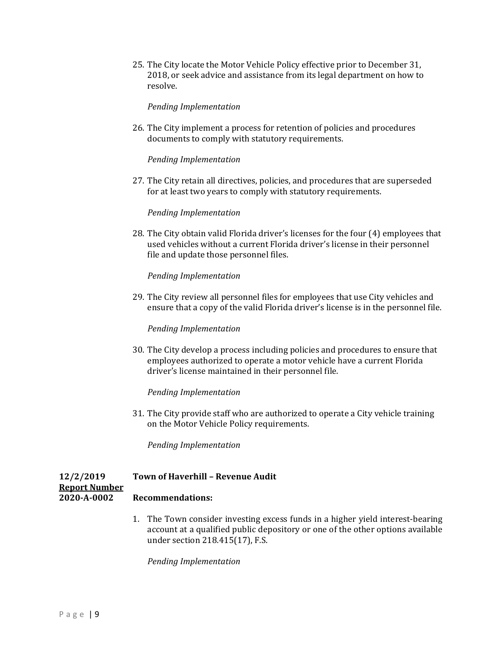25. The City locate the Motor Vehicle Policy effective prior to December 31, 2018, or seek advice and assistance from its legal department on how to resolve.

*Pending Implementation*

26. The City implement a process for retention of policies and procedures documents to comply with statutory requirements.

#### *Pending Implementation*

27. The City retain all directives, policies, and procedures that are superseded for at least two years to comply with statutory requirements.

#### *Pending Implementation*

28. The City obtain valid Florida driver's licenses for the four (4) employees that used vehicles without a current Florida driver's license in their personnel file and update those personnel files.

#### *Pending Implementation*

29. The City review all personnel files for employees that use City vehicles and ensure that a copy of the valid Florida driver's license is in the personnel file.

#### *Pending Implementation*

30. The City develop a process including policies and procedures to ensure that employees authorized to operate a motor vehicle have a current Florida driver's license maintained in their personnel file.

#### *Pending Implementation*

31. The City provide staff who are authorized to operate a City vehicle training on the Motor Vehicle Policy requirements.

*Pending Implementation*

### **12/2/2019 Town of Haverhill – Revenue Audit**

#### **Report Number 2020‐A‐0002 Recommendations:**

1. The Town consider investing excess funds in a higher yield interest-bearing account at a qualified public depository or one of the other options available under section 218.415(17), F.S.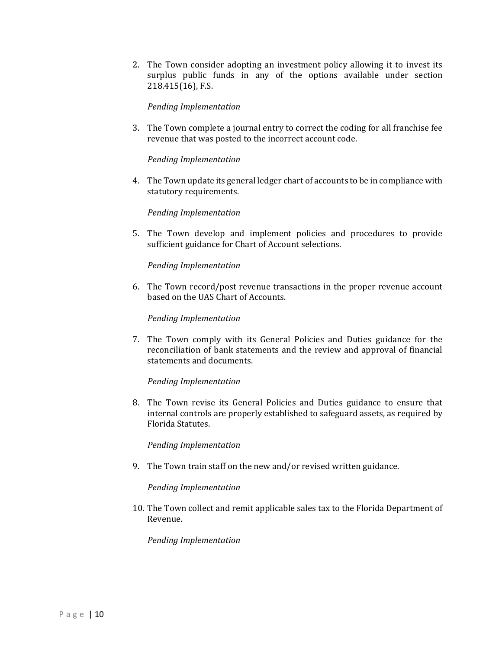2. The Town consider adopting an investment policy allowing it to invest its surplus public funds in any of the options available under section 218.415(16), F.S.

*Pending Implementation*

3. The Town complete a journal entry to correct the coding for all franchise fee revenue that was posted to the incorrect account code.

#### *Pending Implementation*

4. The Town update its general ledger chart of accounts to be in compliance with statutory requirements.

#### *Pending Implementation*

5. The Town develop and implement policies and procedures to provide sufficient guidance for Chart of Account selections.

#### *Pending Implementation*

6. The Town record/post revenue transactions in the proper revenue account based on the UAS Chart of Accounts.

#### *Pending Implementation*

7. The Town comply with its General Policies and Duties guidance for the reconciliation of bank statements and the review and approval of financial statements and documents.

#### *Pending Implementation*

8. The Town revise its General Policies and Duties guidance to ensure that internal controls are properly established to safeguard assets, as required by Florida Statutes.

#### *Pending Implementation*

9. The Town train staff on the new and/or revised written guidance.

#### *Pending Implementation*

10. The Town collect and remit applicable sales tax to the Florida Department of Revenue.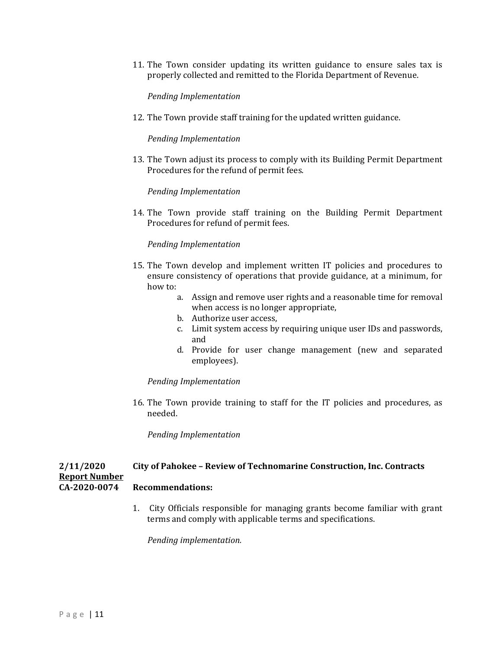11. The Town consider updating its written guidance to ensure sales tax is properly collected and remitted to the Florida Department of Revenue.

*Pending Implementation*

12. The Town provide staff training for the updated written guidance.

*Pending Implementation*

13. The Town adjust its process to comply with its Building Permit Department Procedures for the refund of permit fees.

*Pending Implementation*

14. The Town provide staff training on the Building Permit Department Procedures for refund of permit fees.

#### *Pending Implementation*

- 15. The Town develop and implement written IT policies and procedures to ensure consistency of operations that provide guidance, at a minimum, for how to:
	- a. Assign and remove user rights and a reasonable time for removal when access is no longer appropriate,
	- b. Authorize user access,
	- c. Limit system access by requiring unique user IDs and passwords, and
	- d. Provide for user change management (new and separated employees).

#### *Pending Implementation*

16. The Town provide training to staff for the IT policies and procedures, as needed.

*Pending Implementation*

## **2/11/2020 City of Pahokee – Review of Technomarine Construction, Inc. Contracts Report Number**

#### **CA‐2020‐0074 Recommendations:**

1. City Officials responsible for managing grants become familiar with grant terms and comply with applicable terms and specifications.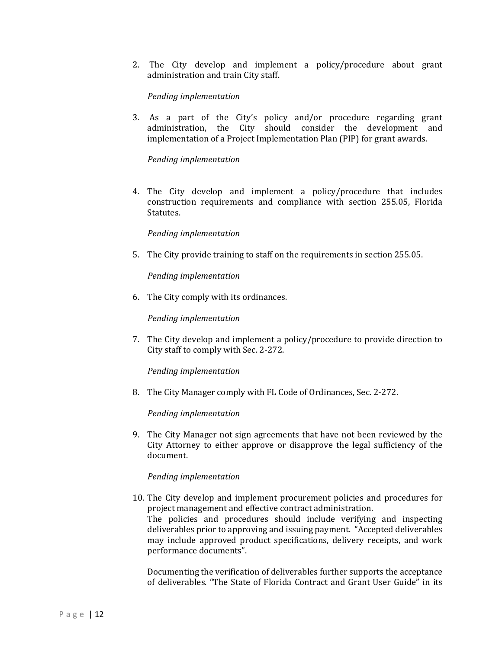2. The City develop and implement a policy/procedure about grant administration and train City staff.

#### *Pending implementation*

3. As a part of the City's policy and/or procedure regarding grant administration, the City should consider the development and implementation of a Project Implementation Plan (PIP) for grant awards.

#### *Pending implementation*

4. The City develop and implement a policy/procedure that includes construction requirements and compliance with section 255.05, Florida Statutes.

#### *Pending implementation*

5. The City provide training to staff on the requirements in section 255.05.

#### *Pending implementation*

6. The City comply with its ordinances.

#### *Pending implementation*

7. The City develop and implement a policy/procedure to provide direction to City staff to comply with Sec. 2-272.

#### *Pending implementation*

8. The City Manager comply with FL Code of Ordinances, Sec. 2-272.

#### *Pending implementation*

9. The City Manager not sign agreements that have not been reviewed by the City Attorney to either approve or disapprove the legal sufficiency of the document.

#### *Pending implementation*

10. The City develop and implement procurement policies and procedures for project management and effective contract administration. The policies and procedures should include verifying and inspecting deliverables prior to approving and issuing payment. "Accepted deliverables may include approved product specifications, delivery receipts, and work performance documents".

Documenting the verification of deliverables further supports the acceptance of deliverables. "The State of Florida Contract and Grant User Guide" in its